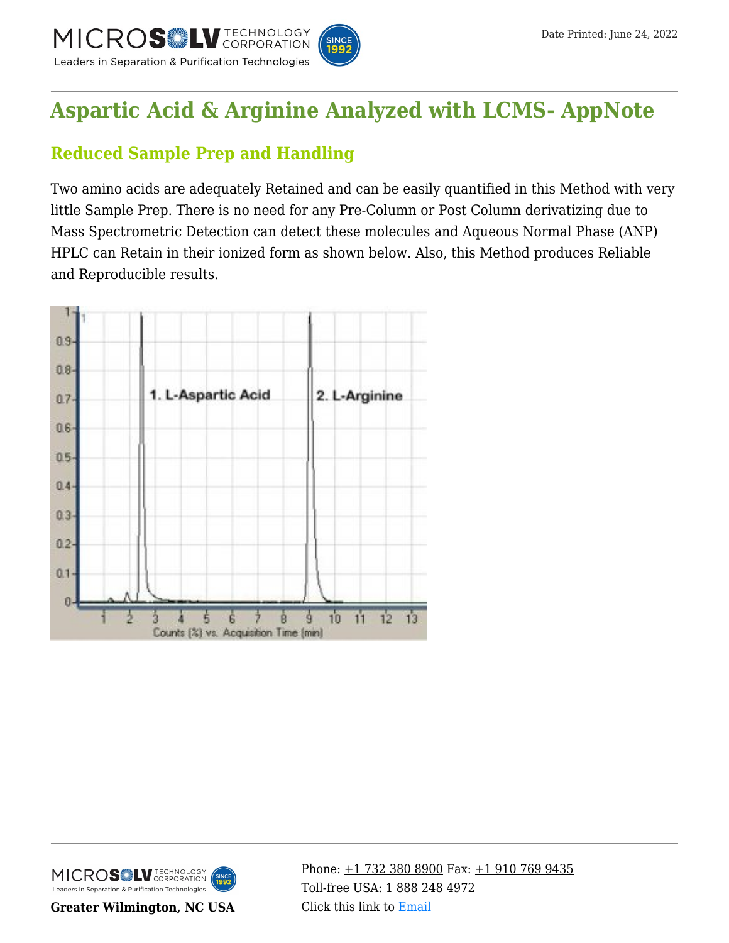

## **[Aspartic Acid & Arginine Analyzed with LCMS- AppNote](https://kb.mtc-usa.com/article/aa-00748/46/)**

## **Reduced Sample Prep and Handling**

Two amino acids are adequately Retained and can be easily quantified in this Method with very little Sample Prep. There is no need for any Pre-Column or Post Column derivatizing due to Mass Spectrometric Detection can detect these molecules and Aqueous Normal Phase (ANP) HPLC can Retain in their ionized form as shown below. Also, this Method produces Reliable and Reproducible results.





**Greater Wilmington, NC USA**

Phone:  $\pm$ 1 732 380 8900 Fax:  $\pm$ 1 910 769 9435 Toll-free USA: [1 888 248 4972](#page--1-0) Click this link to [Email](https://www.mtc-usa.com/contact)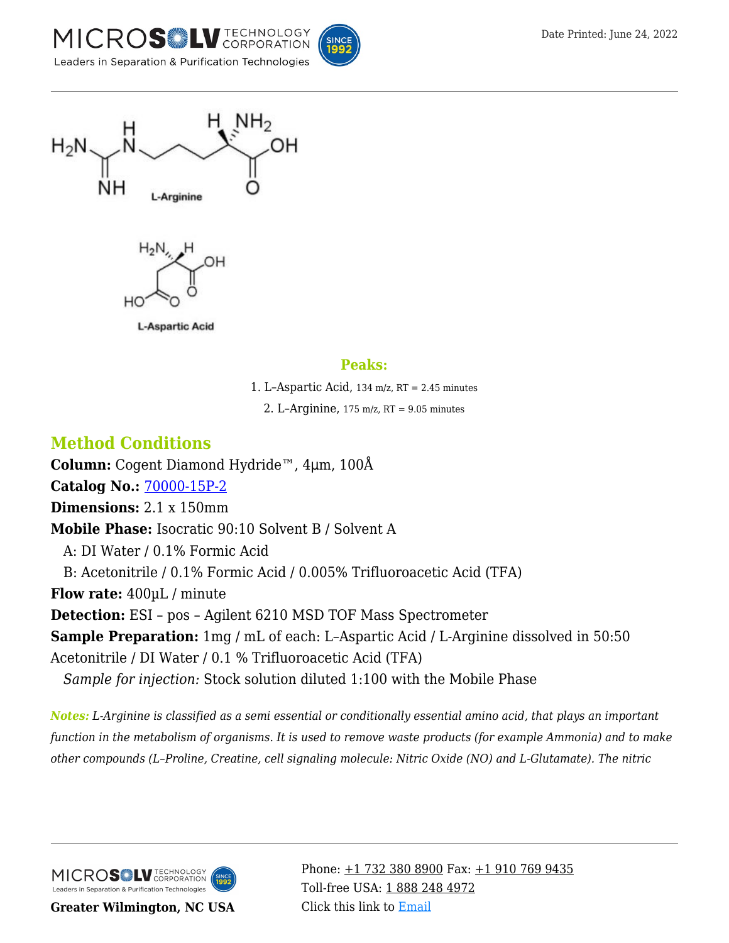





**L-Aspartic Acid** 

## **Peaks:**

1. L–Aspartic Acid, 134 m/z, RT = 2.45 minutes

2. L–Arginine,  $175 \text{ m/z}$ , RT = 9.05 minutes

## **Method Conditions**

**Column:** Cogent Diamond Hydride™, 4μm, 100Å **Catalog No.:** [70000-15P-2](https://www.mtc-usa.com/product-details/id/4115801) **Dimensions:** 2.1 x 150mm **Mobile Phase:** Isocratic 90:10 Solvent B / Solvent A A: DI Water / 0.1% Formic Acid —B: Acetonitrile / 0.1% Formic Acid / 0.005% Trifluoroacetic Acid (TFA) **Flow rate:** 400µL / minute **Detection:** ESI – pos – Agilent 6210 MSD TOF Mass Spectrometer **Sample Preparation:** 1mg / mL of each: L-Aspartic Acid / L-Arginine dissolved in 50:50 Acetonitrile / DI Water / 0.1 % Trifluoroacetic Acid (TFA) *—Sample for injection:* Stock solution diluted 1:100 with the Mobile Phase

*Notes: L-Arginine is classified as a semi essential or conditionally essential amino acid, that plays an important function in the metabolism of organisms. It is used to remove waste products (for example Ammonia) and to make other compounds (L–Proline, Creatine, cell signaling molecule: Nitric Oxide (NO) and L-Glutamate). The nitric*

MICROS<sup>OL</sup> LU TECHNOLOGY Leaders in Separation & Purification Technologies

**Greater Wilmington, NC USA**

Phone:  $\pm$ 1 732 380 8900 Fax:  $\pm$ 1 910 769 9435 Toll-free USA: [1 888 248 4972](#page--1-0) Click this link to [Email](https://www.mtc-usa.com/contact)